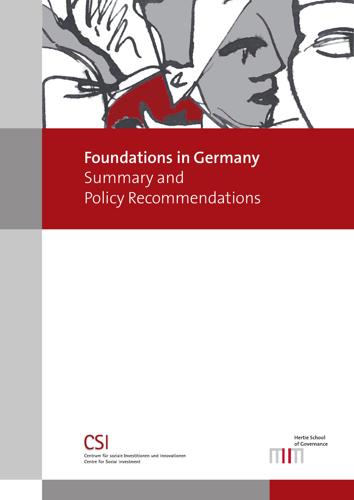

# **Foundations in Germany** Summary and Policy Recommendations



**Hertie School** of Governance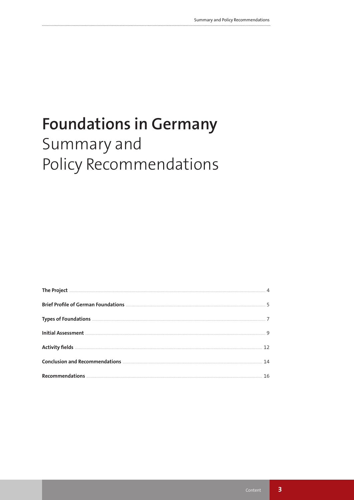# **Foundations in Germany** Summary and Policy Recommendations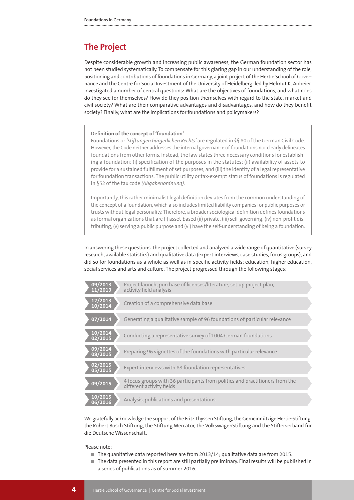# **The Project**

Despite considerable growth and increasing public awareness, the German foundation sector has not been studied systematically. To compensate for this glaring gap in our understanding of the role, positioning and contributions of foundations in Germany, a joint project of the Hertie School of Governance and the Centre for Social Investment of the University of Heidelberg, led by Helmut K. Anheier, investigated a number of central questions: What are the objectives of foundations, and what roles do they see for themselves? How do they position themselves with regard to the state, market and civil society? What are their comparative advantages and disadvantages, and how do they benefit society? Finally, what are the implications for foundations and policymakers?

## **Definition of the concept of 'foundation'**

Foundations or *'Stiftungen bürgerlichen Rechts'* are regulated in §§ 80 of the German Civil Code. However, the Code neither addresses the internal governance of foundations nor clearly delineates foundations from other forms. Instead, the law states three necessary conditions for establishing a foundation: (i) specification of the purposes in the statutes; (ii) availability of assets to provide for a sustained fulfillment of set purposes, and (iii) the identity of a legal representative for foundation transactions. The public utility or tax-exempt status of foundations is regulated in §52 of the tax code *(Abgabenordnung)*.

Importantly, this rather minimalist legal definition deviates from the common understanding of the concept of a foundation, which also includes limited liability companies for public purposes or trusts without legal personality. Therefore, a broader sociological definition defines foundations as formal organizations that are (i) asset-based (ii) private, (iii) self-governing, (iv) non-profit distributing, (v) serving a public purpose and (vi) have the self-understanding of being a foundation.

In answering these questions, the project collected and analyzed a wide range of quantitative (survey research, available statistics) and qualitative data (expert interviews, case studies, focus groups), and did so for foundations as a whole as well as in specific activity fields: education, higher education, social services and arts and culture. The project progressed through the following stages:



We gratefully acknowledge the support of the Fritz Thyssen Stiftung, the Gemeinnützige Hertie-Stiftung, the Robert Bosch Stiftung, the Stiftung Mercator, the VolkswagenStiftung and the Stifterverband für die Deutsche Wissenschaft.

Please note:

- The quanitative data reported here are from 2013/14; qualitative data are from 2015.
- The data presented in this report are still partially preliminary. Final results will be published in a series of publications as of summer 2016.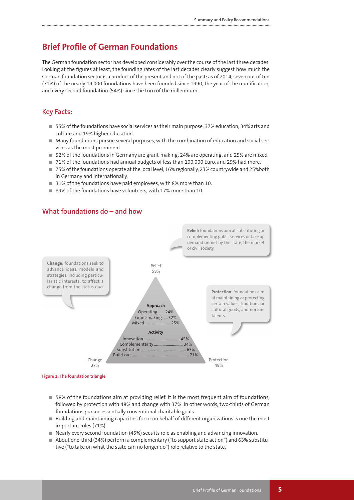# **Brief Profile of German Foundations**

The German foundation sector has developed considerably over the course of the last three decades. Looking at the figures at least, the founding rates of the last decades clearly suggest how much the German foundation sector is a product of the present and not of the past: as of 2014, seven out of ten (71%) of the nearly 19,000 foundations have been founded since 1990, the year of the reunification, and every second foundation (54%) since the turn of the millennium.

## **Key Facts:**

- 55% of the foundations have social services as their main purpose, 37% education, 34% arts and culture and 19% higher education.
- Many foundations pursue several purposes, with the combination of education and social services as the most prominent.
- 52% of the foundations in Germany are grant-making, 24% are operating, and 25% are mixed.
- 71% of the foundations had annual budgets of less than 100,000 Euro, and 29% had more.
- 75% of the foundations operate at the local level, 16% regionally, 23% countrywide and 25% both in Germany and internationally.
- 31% of the foundations have paid employees, with 8% more than 10.
- 89% of the foundations have volunteers, with 17% more than 10.



## **What foundations do – and how**

**Figure 1: The foundation triangle** 

- 58% of the foundations aim at providing relief. It is the most frequent aim of foundations, followed by protection with 48% and change with 37%. In other words, two-thirds of German foundations pursue essentially conventional charitable goals.
- Building and maintaining capacities for or on behalf of different organizations is one the most important roles (71%).
- Nearly every second foundation (45%) sees its role as enabling and advancing innovation.
- About one-third (34%) perform a complementary ("to support state action") and 63% substitutive ("to take on what the state can no longer do") role relative to the state.

**5**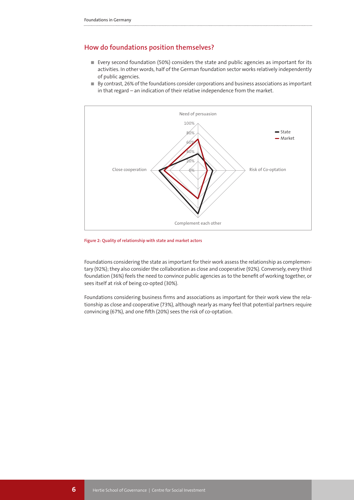## **How do foundations position themselves?**

- Every second foundation (50%) considers the state and public agencies as important for its activities. In other words, half of the German foundation sector works relatively independently of public agencies.
- By contrast, 26% of the foundations consider corporations and business associations as important in that regard – an indication of their relative independence from the market.



**Figure 2: Quality of relationship with state and market actors**

Foundations considering the state as important for their work assess the relationship as complementary (92%); they also consider the collaboration as close and cooperative (92%). Conversely, every third foundation (36%) feels the need to convince public agencies as to the benefit of working together, or sees itself at risk of being co-opted (30%).

Foundations considering business firms and associations as important for their work view the relationship as close and cooperative (73%), although nearly as many feel that potential partners require convincing (67%), and one fifth (20%) sees the risk of co-optation.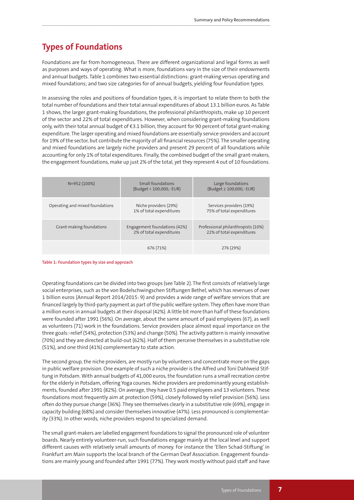# **Types of Foundations**

Foundations are far from homogeneous. There are different organizational and legal forms as well as purposes and ways of operating. What is more, foundations vary in the size of their endowments and annual budgets. Table 1 combines two essential distinctions: grant-making versus operating and mixed foundations; and two size categories for of annual budgets, yielding four foundation types.

In assessing the roles and positions of foundation types, it is important to relate them to both the total number of foundations and their total annual expenditures of about 13.1 billion euros. As Table 1 shows, the larger grant-making foundations, the professional philanthropists, make up 10 percent of the sector and 22% of total expenditures. However, when considering grant-making foundations only, with their total annual budget of €3.1 billion, they account for 90 percent of total grant-making expenditure. The larger operating and mixed foundations are essentially service-providers and account for 19% of the sector, but contribute the majority of all financial resources (75%). The smaller operating and mixed foundations are largely niche providers and present 29 percent of all foundations while accounting for only 1% of total expenditures. Finally, the combined budget of the small grant-makers, the engagement foundations, make up just 2% of the total, yet they represent 4 out of 10 foundations.

| N=952 (100%)                    | Small foundations<br>(Budget < 100,000,- EUR)            | Large foundations<br>(Budget ≥ 100,000,- EUR)                   |
|---------------------------------|----------------------------------------------------------|-----------------------------------------------------------------|
| Operating and mixed foundations | Niche providers (29%)<br>1% of total expenditures        | Services providers (19%)<br>75% of total expenditures           |
| Grant-making foundations        | Engagement foundations (42%)<br>2% of total expenditures | Professional philanthropists (10%)<br>22% of total expenditures |
|                                 | 676 (71%)                                                | 276 (29%)                                                       |

**Table 1: Foundation types by size and approach** 

Operating foundations can be divided into two groups (see Table 2). The first consists of relatively large social enterprises, such as the von Bodelschwingschen Stiftungen Bethel, which has revenues of over 1 billion euros (Annual Report 2014/2015: 9) and provides a wide range of welfare services that are financed largely by third-party payment as part of the public welfare system. They often have more than a million euros in annual budgets at their disposal (42%). A little bit more than half of these foundations were founded after 1991 (56%). On average, about the same amount of paid employees (67), as well as volunteers (71) work in the foundations. Service providers place almost equal importance on the three goals:-relief (54%), protection (53%) and change (50%). The activity pattern is mainly innovative (70%) and they are directed at build-out (62%). Half of them perceive themselves in a substitutive role (51%), and one third (41%) complementary to state action.

The second group, the niche providers, are mostly run by volunteers and concentrate more on the gaps in public welfare provision. One example of such a niche provider is the Alfred und Toni Dahlweid Stiftung in Potsdam. With annual budgets of 41,000 euros, the foundation runs a small recreation centre for the elderly in Potsdam, offering Yoga courses. Niche providers are predominantly young establishments, founded after 1991 (82%). On average, they have 0.5 paid employees and 13 volunteers. These foundations most frequently aim at protection (59%), closely followed by relief provision (56%). Less often do they pursue change (36%). They see themselves clearly in a substitutive role (69%), engage in capacity building (68%) and consider themselves innovative (47%). Less pronounced is complementarity (33%). In other words, niche providers respond to specialized demand.

The small grant-makers are labelled engagement foundations to signal the pronounced role of volunteer boards. Nearly entirely volunteer-run, such foundations engage mainly at the local level and support different causes with relatively small amounts of money. For instance the 'Ellen Schad-Stiftung' in Frankfurt am Main supports the local branch of the German Deaf Association. Engagement foundations are mainly young and founded after 1991 (77%). They work mostly without paid staff and have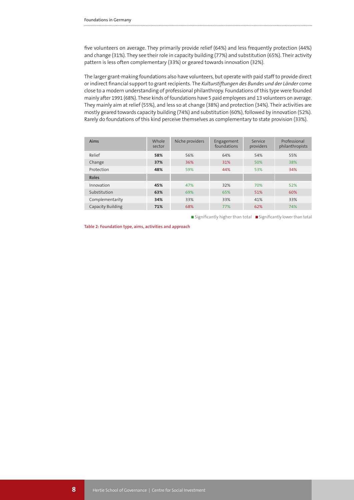five volunteers on average. They primarily provide relief (64%) and less frequently protection (44%) and change (31%). They see their role in capacity building (77%) and substitution (65%). Their activity pattern is less often complementary (33%) or geared towards innovation (32%).

The larger grant-making foundations also have volunteers, but operate with paid staff to provide direct or indirect financial support to grant recipients. The *Kulturstiftungen des Bundes und der Länder* come close to a modern understanding of professional philanthropy. Foundations of this type were founded mainly after 1991 (68%). These kinds of foundations have 5 paid employees and 13 volunteers on average. They mainly aim at relief (55%), and less so at change (38%) and protection (34%). Their activities are mostly geared towards capacity building (74%) and substitution (60%), followed by innovation (52%). Rarely do foundations of this kind perceive themselves as complementary to state provision (33%).

| Aims              | Whole<br>sector | Niche providers | Engagement<br>foundations | Service<br>providers | Professional<br>philanthropists |
|-------------------|-----------------|-----------------|---------------------------|----------------------|---------------------------------|
| Relief            | 58%             | 56%             | 64%                       | 54%                  | 55%                             |
| Change            | 37%             | 36%             | 31%                       | 50%                  | 38%                             |
| Protection        | 48%             | 59%             | 44%                       | 53%                  | 34%                             |
| <b>Roles</b>      |                 |                 |                           |                      |                                 |
| Innovation        | 45%             | 47%             | 32%                       | 70%                  | 52%                             |
| Substitution      | 63%             | 69%             | 65%                       | 51%                  | 60%                             |
| Complementarity   | 34%             | 33%             | 33%                       | 41%                  | 33%                             |
| Capacity Building | 71%             | 68%             | 77%                       | 62%                  | 74%                             |

■ Significantly higher than total ■ Significantly lower than total

**Table 2: Foundation type, aims, activities and approach**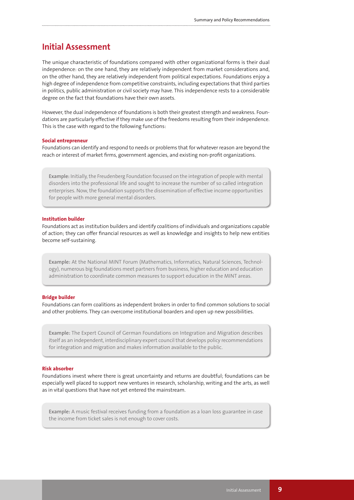## **Initial Assessment**

The unique characteristic of foundations compared with other organizational forms is their dual independence: on the one hand, they are relatively independent from market considerations and, on the other hand, they are relatively independent from political expectations. Foundations enjoy a high degree of independence from competitive constraints, including expectations that third parties in politics, public administration or civil society may have. This independence rests to a considerable degree on the fact that foundations have their own assets.

However, the dual independence of foundations is both their greatest strength and weakness. Foundations are particularly effective if they make use of the freedoms resulting from their independence. This is the case with regard to the following functions:

## **Social entrepreneur**

Foundations can identify and respond to needs or problems that for whatever reason are beyond the reach or interest of market firms, government agencies, and existing non-profit organizations.

**Example:** Initially, the Freudenberg Foundation focussed on the integration of people with mental disorders into the professional life and sought to increase the number of so called integration enterprises. Now, the foundation supports the dissemination of effective income opportunities for people with more general mental disorders.

## **Institution builder**

Foundations act as institution builders and identify coalitions of individuals and organizations capable of action; they can offer financial resources as well as knowledge and insights to help new entities become self-sustaining.

**Example:** At the National MINT Forum (Mathematics, Informatics, Natural Sciences, Technology), numerous big foundations meet partners from business, higher education and education administration to coordinate common measures to support education in the MINT areas.

## **Bridge builder**

Foundations can form coalitions as independent brokers in order to find common solutions to social and other problems. They can overcome institutional boarders and open up new possibilities.

**Example:** The Expert Council of German Foundations on Integration and Migration describes itself as an independent, interdisciplinary expert council that develops policy recommendations for integration and migration and makes information available to the public.

## **Risk absorber**

Foundations invest where there is great uncertainty and returns are doubtful; foundations can be especially well placed to support new ventures in research, scholarship, writing and the arts, as well as in vital questions that have not yet entered the mainstream.

**Example:** A music festival receives funding from a foundation as a loan loss guarantee in case the income from ticket sales is not enough to cover costs.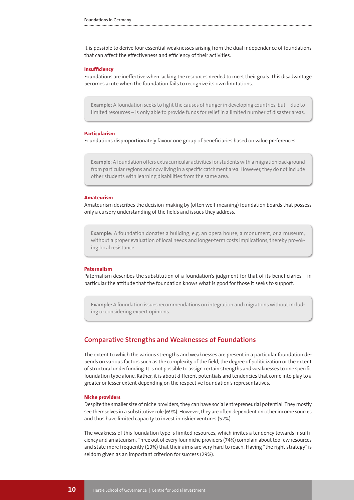It is possible to derive four essential weaknesses arising from the dual independence of foundations that can affect the effectiveness and efficiency of their activities.

#### **Insufficiency**

Foundations are ineffective when lacking the resources needed to meet their goals. This disadvantage becomes acute when the foundation fails to recognize its own limitations.

Example: A foundation seeks to fight the causes of hunger in developing countries, but – due to limited resources – is only able to provide funds for relief in a limited number of disaster areas.

## **Particularism**

Foundations disproportionately favour one group of beneficiaries based on value preferences.

**Example:** A foundation offers extracurricular activities for students with a migration background from particular regions and now living in a specific catchment area. However, they do not include other students with learning disabilities from the same area.

## **Amateurism**

Amateurism describes the decision-making by (often well-meaning) foundation boards that possess only a cursory understanding of the fields and issues they address.

**Example:** A foundation donates a building, e.g. an opera house, a monument, or a museum, without a proper evaluation of local needs and longer-term costs implications, thereby provoking local resistance.

## **Paternalism**

Paternalism describes the substitution of a foundation's judgment for that of its beneficiaries – in particular the attitude that the foundation knows what is good for those it seeks to support.

**Example:** A foundation issues recommendations on integration and migrations without including or considering expert opinions.

## **Comparative Strengths and Weaknesses of Foundations**

The extent to which the various strengths and weaknesses are present in a particular foundation depends on various factors such as the complexity of the field, the degree of politicization or the extent of structural underfunding. It is not possible to assign certain strengths and weaknesses to one specific foundation type alone. Rather, it is about different potentials and tendencies that come into play to a greater or lesser extent depending on the respective foundation's representatives.

## **Niche providers**

Despite the smaller size of niche providers, they can have social entrepreneurial potential. They mostly see themselves in a substitutive role (69%). However, they are often dependent on other income sources and thus have limited capacity to invest in riskier ventures (52%).

The weakness of this foundation type is limited resources, which invites a tendency towards insufficiency and amateurism. Three out of every four niche providers (74%) complain about too few resources and state more frequently (13%) that their aims are very hard to reach. Having "the right strategy" is seldom given as an important criterion for success (29%).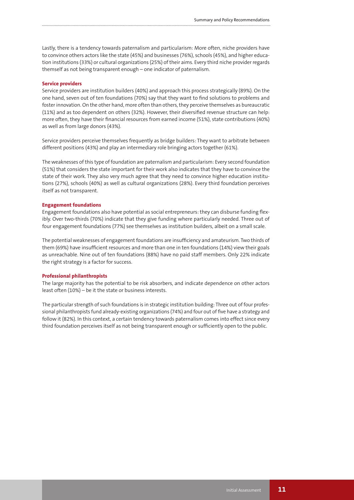Lastly, there is a tendency towards paternalism and particularism: More often, niche providers have to convince others actors like the state (45%) and businesses (76%), schools (45%), and higher education institutions (33%) or cultural organizations (25%) of their aims. Every third niche provider regards themself as not being transparent enough – one indicator of paternalism.

## **Service providers**

Service providers are institution builders (40%) and approach this process strategically (89%). On the one hand, seven out of ten foundations (70%) say that they want to find solutions to problems and foster innovation. On the other hand, more often than others, they perceive themselves as bureaucratic (11%) and as too dependent on others (32%). However, their diversified revenue structure can help: more often, they have their financial resources from earned income (51%), state contributions (40%) as well as from large donors (43%).

Service providers perceive themselves frequently as bridge builders: They want to arbitrate between different positions (43%) and play an intermediary role bringing actors together (61%).

The weaknesses of this type of foundation are paternalism and particularism: Every second foundation (51%) that considers the state important for their work also indicates that they have to convince the state of their work. They also very much agree that they need to convince higher education institutions (27%), schools (40%) as well as cultural organizations (28%). Every third foundation perceives itself as not transparent.

## **Engagement foundations**

Engagement foundations also have potential as social entrepreneurs: they can disburse funding flexibly. Over two-thirds (70%) indicate that they give funding where particularly needed. Three out of four engagement foundations (77%) see themselves as institution builders, albeit on a small scale.

The potential weaknesses of engagement foundations are insufficiency and amateurism. Two thirds of them (69%) have insufficient resources and more than one in ten foundations (14%) view their goals as unreachable. Nine out of ten foundations (88%) have no paid staff members. Only 22% indicate the right strategy is a factor for success.

## **Professional philanthropists**

The large majority has the potential to be risk absorbers, and indicate dependence on other actors least often (10%) – be it the state or business interests.

The particular strength of such foundations is in strategic institution building: Three out of four professional philanthropists fund already-existing organizations (74%) and four out of five have a strategy and follow it (82%). In this context, a certain tendency towards paternalism comes into effect since every third foundation perceives itself as not being transparent enough or sufficiently open to the public.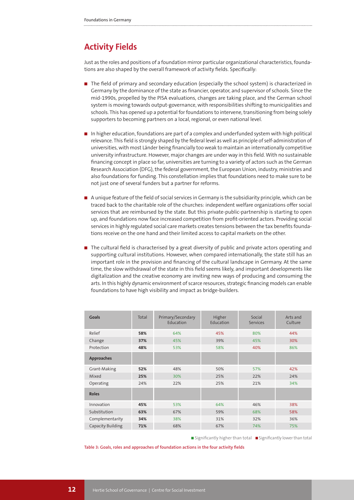# **Activity Fields**

Just as the roles and positions of a foundation mirror particular organizational characteristics, foundations are also shaped by the overall framework of activity fields. Specifically:

- The field of primary and secondary education (especially the school system) is characterized in Germany by the dominance of the state as financier, operator, and supervisor of schools. Since the mid-1990s, propelled by the PISA evaluations, changes are taking place, and the German school system is moving towards output-governance, with responsibilities shifting to municipalities and schools. This has opened up a potential for foundations to intervene, transitioning from being solely supporters to becoming partners on a local, regional, or even national level.
- In higher education, foundations are part of a complex and underfunded system with high political relevance. This field is strongly shaped by the federal level as well as principle of self-administration of universities, with most Länder being financially too weak to maintain an internationally competitive university infrastructure. However, major changes are under way in this field. With no sustainable financing concept in place so far, universities are turning to a variety of actors such as the German Research Association (DFG), the federal government, the European Union, industry, ministries and also foundations for funding. This constellation implies that foundations need to make sure to be not just one of several funders but a partner for reforms.
- A unique feature of the field of social services in Germany is the subsidiarity principle, which can be traced back to the charitable role of the churches: independent welfare organizations offer social services that are reimbursed by the state. But this private-public-partnership is starting to open up, and foundations now face increased competition from profit-oriented actors. Providing social services in highly regulated social care markets creates tensions between the tax benefits foundations receive on the one hand and their limited access to capital markets on the other.
- The cultural field is characterised by a great diversity of public and private actors operating and supporting cultural institutions. However, when compared internationally, the state still has an important role in the provision and financing of the cultural landscape in Germany. At the same time, the slow withdrawal of the state in this field seems likely, and important developments like digitalization and the creative economy are inviting new ways of producing and consuming the arts. In this highly dynamic environment of scarce resources, strategic financing models can enable foundations to have high visibility and impact as bridge-builders.

| <b>Goals</b>             | Total | Primary/Secondary<br>Education | Higher<br>Education | Social<br><b>Services</b> | Arts and<br>Culture |
|--------------------------|-------|--------------------------------|---------------------|---------------------------|---------------------|
| Relief                   | 58%   | 64%                            | 45%                 | 80%                       | 44%                 |
| Change                   | 37%   | 45%                            | 39%                 | 45%                       | 30%                 |
| Protection               | 48%   | 53%                            | 58%                 | 40%                       | 86%                 |
| Approaches               |       |                                |                     |                           |                     |
| Grant-Making             | 52%   | 48%                            | 50%                 | 57%                       | 42%                 |
| Mixed                    | 25%   | 30%                            | 25%                 | 22%                       | 24%                 |
| Operating                | 24%   | 22%                            | 25%                 | 21%                       | 34%                 |
| <b>Roles</b>             |       |                                |                     |                           |                     |
| Innovation               | 45%   | 53%                            | 64%                 | 46%                       | 38%                 |
| Substitution             | 63%   | 67%                            | 59%                 | 68%                       | 58%                 |
| Complementarity          | 34%   | 38%                            | 31%                 | 32%                       | 36%                 |
| <b>Capacity Building</b> | 71%   | 68%                            | 67%                 | 74%                       | 75%                 |

■ Significantly higher than total ■ Significantly lower than total

**Table 3: Goals, roles and approaches of foundation actions in the four activity fields**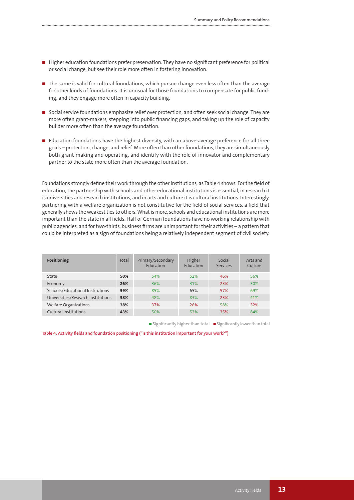- Higher education foundations prefer preservation. They have no significant preference for political or social change, but see their role more often in fostering innovation.
- The same is valid for cultural foundations, which pursue change even less often than the average for other kinds of foundations. It is unusual for those foundations to compensate for public funding, and they engage more often in capacity building.
- Social service foundations emphasize relief over protection, and often seek social change. They are more often grant-makers, stepping into public financing gaps, and taking up the role of capacity builder more often than the average foundation.
- Education foundations have the highest diversity, with an above-average preference for all three goals – protection, change, and relief. More often than other foundations, they are simultaneously both grant-making and operating, and identify with the role of innovator and complementary partner to the state more often than the average foundation.

Foundations strongly define their work through the other institutions, as Table 4 shows. For the field of education, the partnership with schools and other educational institutions is essential, in research it is universities and research institutions, and in arts and culture it is cultural institutions. Interestingly, partnering with a welfare organization is not constitutive for the field of social services, a field that generally shows the weakest ties to others. What is more, schools and educational institutions are more important than the state in all fields. Half of German foundations have no working relationship with public agencies, and for two-thirds, business firms are unimportant for their activities – a pattern that could be interpreted as a sign of foundations being a relatively independent segment of civil society.

| Positioning                        | Total | Primary/Secondary<br>Education | Higher<br>Education | Social<br>Services | Arts and<br>Culture |
|------------------------------------|-------|--------------------------------|---------------------|--------------------|---------------------|
| State                              | 50%   | 54%                            | 52%                 | 46%                | 56%                 |
| Economy                            | 26%   | 36%                            | 31%                 | 23%                | 30%                 |
| Schools/Educational Institutions   | 59%   | 85%                            | 65%                 | 57%                | 69%                 |
| Universities/Research Institutions | 38%   | 48%                            | 83%                 | 23%                | 41%                 |
| <b>Welfare Organizations</b>       | 38%   | 37%                            | 26%                 | 58%                | 32%                 |
| Cultural Institutions              | 43%   | 50%                            | 53%                 | 35%                | 84%                 |

■ Significantly higher than total ■ Significantly lower than total

**Table 4: Activity fields and foundation positioning ("Is this institution important for your work?")**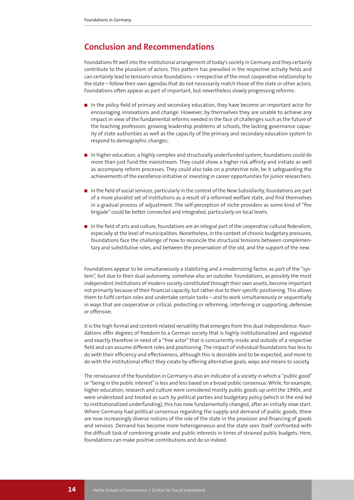## **Conclusion and Recommendations**

Foundations fit well into the institutional arrangement of today's society in Germany and they certainly contribute to the pluralism of actors. This pattern has prevailed in the respective activity fields and can certainly lead to tensions since foundations – irrespective of the most cooperative relationship to the state – follow their own agendas that do not necessarily match those of the state or other actors. Foundations often appear as part of important, but nevertheless slowly progressing reforms:

- In the policy field of primary and secondary education, they have become an important actor for encouraging innovations and change. However, by themselves they are unable to achieve any impact in view of the fundamental reforms needed in the face of challenges such as the future of the teaching profession, growing leadership problems at schools, the lacking governance capacity of state authorities as well as the capacity of the primary and secondary education system to respond to demographic changes;
- In higher education, a highly complex and structurally underfunded system, foundations could do more than just fund the mainstream. They could show a higher risk affinity and initiate as well as accompany reform processes. They could also take on a protective role, be it safeguarding the achievements of the excellence initiative or investing in career opportunities for junior researchers.
- In the field of social services, particularly in the context of the New Subsidiarity, foundations are part of a more pluralist set of institutions as a result of a reformed welfare state, and find themselves in a gradual process of adjustment. The self-perception of niche providers as some kind of "fire brigade" could be better connected and integrated, particularly on local levels.
- In the field of arts and culture, foundations are an integral part of the cooperative cultural federalism, especially at the level of municipalities. Nonetheless, in the context of chronic budgetary pressures, foundations face the challenge of how to reconcile the structural tensions between complementary and substitutive roles, and between the preservation of the old, and the support of the new.

Foundations appear to be simultaneously a stabilizing and a modernizing factor, as part of the "system", but due to their dual autonomy, somehow also an outsider. Foundations, as possibly the most independent institutions of modern society constituted through their own assets, become important not primarily because of their financial capacity, but rather due to their specific positioning. This allows them to fulfil certain roles and undertake certain tasks – and to work simultaneously or sequentially in ways that are cooperative or critical, protecting or reforming, interfering or supporting, defensive or offensive.

It is the high formal and content-related versatility that emerges from this dual independence: foundations offer degrees of freedom to a German society that is highly institutionalized and regulated and exactly therefore in need of a "free actor" that is concurrently inside and outside of a respective field and can assume different roles and positioning. The impact of individual foundations has less to do with their efficiency and effectiveness, although this is desirable and to be expected, and more to do with the institutional effect they create by offering alternative goals, ways and means to society.

The renaissance of the foundation in Germany is also an indicator of a society in which a "public good" or "being in the public interest" is less and less based on a broad public consensus. While, for example, higher education, research and culture were considered mostly public goods up until the 1990s, and were understood and treated as such by political parties and budgetary policy (which in the end led to institutionalized underfunding), this has now fundamentally changed, after an initially slow start. Where Germany had political consensus regarding the supply and demand of public goods, there are now increasingly diverse notions of the role of the state in the provision and financing of goods and services. Demand has become more heterogeneous and the state sees itself confronted with the difficult task of combining private and public interests in times of strained public budgets. Here, foundations can make positive contributions and do so indeed.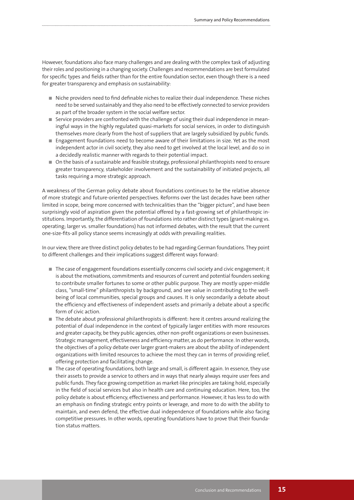However, foundations also face many challenges and are dealing with the complex task of adjusting their roles and positioning in a changing society. Challenges and recommendations are best formulated for specific types and fields rather than for the entire foundation sector, even though there is a need for greater transparency and emphasis on sustainability:

- Niche providers need to find definable niches to realize their dual independence. These niches need to be served sustainably and they also need to be effectively connected to service providers as part of the broader system in the social welfare sector.
- Service providers are confronted with the challenge of using their dual independence in meaningful ways in the highly regulated quasi-markets for social services, in order to distinguish themselves more clearly from the host of suppliers that are largely subsidized by public funds.
- Engagement foundations need to become aware of their limitations in size. Yet as the most independent actor in civil society, they also need to get involved at the local level, and do so in a decidedly realistic manner with regards to their potential impact.
- On the basis of a sustainable and feasible strategy, professional philanthropists need to ensure greater transparency, stakeholder involvement and the sustainability of initiated projects, all tasks requiring a more strategic approach.

A weakness of the German policy debate about foundations continues to be the relative absence of more strategic and future-oriented perspectives. Reforms over the last decades have been rather limited in scope, being more concerned with technicalities than the "bigger picture", and have been surprisingly void of aspiration given the potential offered by a fast-growing set of philanthropic institutions. Importantly, the differentiation of foundations into rather distinct types (grant-making vs. operating; larger vs. smaller foundations) has not informed debates, with the result that the current one-size-fits-all policy stance seems increasingly at odds with prevailing realities.

In our view, there are three distinct policy debates to be had regarding German foundations. They point to different challenges and their implications suggest different ways forward:

- The case of engagement foundations essentially concerns civil society and civic engagement; it is about the motivations, commitments and resources of current and potential founders seeking to contribute smaller fortunes to some or other public purpose. They are mostly upper-middle class, "small-time" philanthropists by background, and see value in contributing to the wellbeing of local communities, special groups and causes. It is only secondarily a debate about the efficiency and effectiveness of independent assets and primarily a debate about a specific form of civic action.
- The debate about professional philanthropists is different: here it centres around realizing the potential of dual independence in the context of typically larger entities with more resources and greater capacity, be they public agencies, other non-profit organizations or even businesses. Strategic management, effectiveness and efficiency matter, as do performance. In other words, the objectives of a policy debate over larger grant-makers are about the ability of independent organizations with limited resources to achieve the most they can in terms of providing relief, offering protection and facilitating change.
- The case of operating foundations, both large and small, is different again. In essence, they use their assets to provide a service to others and in ways that nearly always require user fees and public funds. They face growing competition as market-like principles are taking hold, especially in the field of social services but also in health care and continuing education. Here, too, the policy debate is about efficiency, effectiveness and performance. However, it has less to do with an emphasis on finding strategic entry points or leverage, and more to do with the ability to maintain, and even defend, the effective dual independence of foundations while also facing competitive pressures. In other words, operating foundations have to prove that their foundation status matters.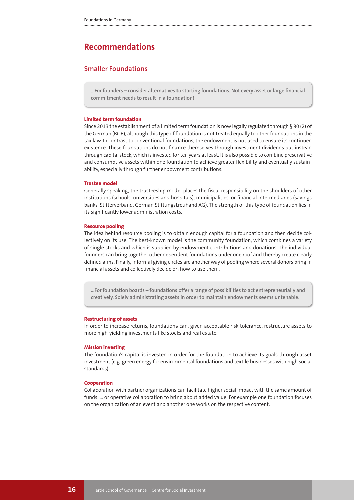# **Recommendations**

## **Smaller Foundations**

…For founders – consider alternatives to starting foundations. Not every asset or large financial **commitment needs to result in a foundation!** 

## **Limited term foundation**

Since 2013 the establishment of a limited term foundation is now legally regulated through § 80 (2) of the German (BGB), although this type of foundation is not treated equally to other foundations in the tax law. In contrast to conventional foundations, the endowment is not used to ensure its continued existence. These foundations do not finance themselves through investment dividends but instead through capital stock, which is invested for ten years at least. It is also possible to combine preservative and consumptive assets within one foundation to achieve greater flexibility and eventually sustainability, especially through further endowment contributions.

#### **Trustee model**

Generally speaking, the trusteeship model places the fiscal responsibility on the shoulders of other institutions (schools, universities and hospitals), municipalities, or financial intermediaries (savings banks, Stifterverband, German Stiftungstreuhand AG). The strength of this type of foundation lies in its significantly lower administration costs.

## **Resource pooling**

The idea behind resource pooling is to obtain enough capital for a foundation and then decide collectively on its use. The best-known model is the community foundation, which combines a variety of single stocks and which is supplied by endowment contributions and donations. The individual founders can bring together other dependent foundations under one roof and thereby create clearly defined aims. Finally, informal giving circles are another way of pooling where several donors bring in financial assets and collectively decide on how to use them.

**…For foundation boards – foundations offer a range of possibilities to act entrepreneurially and creatively. Solely administrating assets in order to maintain endowments seems untenable.**

## **Restructuring of assets**

In order to increase returns, foundations can, given acceptable risk tolerance, restructure assets to more high-yielding investments like stocks and real estate.

## **Mission investing**

The foundation's capital is invested in order for the foundation to achieve its goals through asset investment (e.g. green energy for environmental foundations and textile businesses with high social standards).

## **Cooperation**

Collaboration with partner organizations can facilitate higher social impact with the same amount of funds. ... or operative collaboration to bring about added value. For example one foundation focuses on the organization of an event and another one works on the respective content.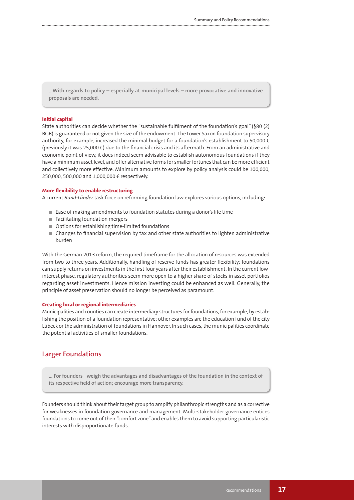**…With regards to policy – especially at municipal levels – more provocative and innovative proposals are needed.**

## **Initial capital**

State authorities can decide whether the "sustainable fulfilment of the foundation's goal" (§80 (2) BGB) is guaranteed or not given the size of the endowment. The Lower Saxon foundation supervisory authority, for example, increased the minimal budget for a foundation's establishment to 50,000 € (previously it was 25,000  $\epsilon$ ) due to the financial crisis and its aftermath. From an administrative and economic point of view, it does indeed seem advisable to establish autonomous foundations if they have a minimum asset level, and offer alternative forms for smaller fortunes that can be more efficient and collectively more effective. Minimum amounts to explore by policy analysis could be 100,000, 250,000, 500,000 and 1,000,000 € respectively.

## **More flexibility to enable restructuring**

A current *Bund-Länder* task force on reforming foundation law explores various options, including:

- Ease of making amendments to foundation statutes during a donor's life time
- Facilitating foundation mergers
- Options for establishing time-limited foundations
- Changes to financial supervision by tax and other state authorities to lighten administrative burden

With the German 2013 reform, the required timeframe for the allocation of resources was extended from two to three years. Additionally, handling of reserve funds has greater flexibility: foundations can supply returns on investments in the first four years after their establishment. In the current lowinterest phase, regulatory authorities seem more open to a higher share of stocks in asset portfolios regarding asset investments. Hence mission investing could be enhanced as well. Generally, the principle of asset preservation should no longer be perceived as paramount.

## **Creating local or regional intermediaries**

Municipalities and counties can create intermediary structures for foundations, for example, by establishing the position of a foundation representative; other examples are the education fund of the city Lübeck or the administration of foundations in Hannover. In such cases, the municipalities coordinate the potential activities of smaller foundations.

## **Larger Foundations**

**… For founders– weigh the advantages and disadvantages of the foundation in the context of**  its respective field of action; encourage more transparency.

Founders should think about their target group to amplify philanthropic strengths and as a corrective for weaknesses in foundation governance and management. Multi-stakeholder governance entices foundations to come out of their "comfort zone" and enables them to avoid supporting particularistic interests with disproportionate funds.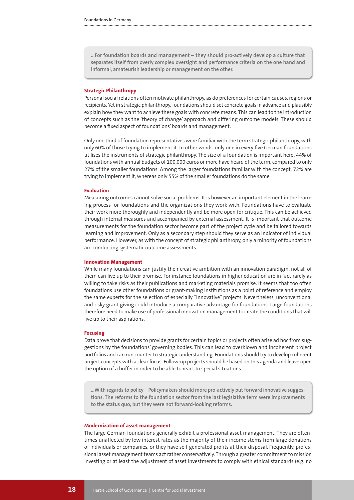**…For foundation boards and management – they should pro-actively develop a culture that separates itself from overly complex oversight and performance criteria on the one hand and informal, amateurish leadership or management on the other.**

#### **Strategic Philanthropy**

Personal social relations often motivate philanthropy, as do preferences for certain causes, regions or recipients. Yet in strategic philanthropy, foundations should set concrete goals in advance and plausibly explain how they want to achieve these goals with concrete means. This can lead to the introduction of concepts such as the 'theory of change' approach and differing outcome models. These should become a fixed aspect of foundations' boards and management.

Only one third of foundation representatives were familiar with the term strategic philanthropy, with only 60% of those trying to implement it. In other words, only one in every five German foundations utilises the instruments of strategic philanthropy. The size of a foundation is important here: 44% of foundations with annual budgets of 100,000 euros or more have heard of the term, compared to only 27% of the smaller foundations. Among the larger foundations familiar with the concept, 72% are trying to implement it, whereas only 55% of the smaller foundations do the same.

#### **Evaluation**

Measuring outcomes cannot solve social problems. It is however an important element in the learning process for foundations and the organizations they work with. Foundations have to evaluate their work more thoroughly and independently and be more open for critique. This can be achieved through internal measures and accompanied by external assessment. It is important that outcome measurements for the foundation sector become part of the project cycle and be tailored towards learning and improvement. Only as a secondary step should they serve as an indicator of individual performance. However, as with the concept of strategic philanthropy, only a minority of foundations are conducting systematic outcome assessments.

#### **Innovation Management**

While many foundations can justify their creative ambition with an innovation paradigm, not all of them can live up to their promise. For instance foundations in higher education are in fact rarely as willing to take risks as their publications and marketing materials promise. It seems that too often foundations use other foundations or grant-making institutions as a point of reference and employ the same experts for the selection of especially "innovative" projects. Nevertheless, unconventional and risky grant giving could introduce a comparative advantage for foundations. Large foundations therefore need to make use of professional innovation management to create the conditions that will live up to their aspirations.

#### **Focusing**

Data prove that decisions to provide grants for certain topics or projects often arise ad hoc from suggestions by the foundations' governing bodies. This can lead to overblown and incoherent project portfolios and can run counter to strategic understanding. Foundations should try to develop coherent project concepts with a clear focus. Follow-up projects should be based on this agenda and leave open the option of a buffer in order to be able to react to special situations.

**…With regards to policy – Policymakers should more pro-actively put forward innovative suggestions. The reforms to the foundation sector from the last legislative term were improvements to the status quo, but they were not forward-looking reforms.** 

## **Modernization of asset management**

The large German foundations generally exhibit a professional asset management. They are oftentimes unaffected by low interest rates as the majority of their income stems from large donations of individuals or companies, or they have self-generated profits at their disposal. Frequently, professional asset management teams act rather conservatively. Through a greater commitment to mission investing or at least the adjustment of asset investments to comply with ethical standards (e.g. no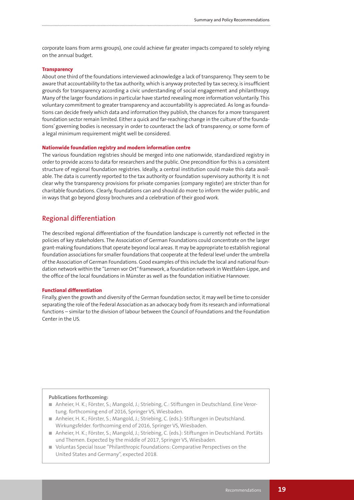corporate loans from arms groups), one could achieve far greater impacts compared to solely relying on the annual budget.

## **Transparency**

About one third of the foundations interviewed acknowledge a lack of transparency. They seem to be aware that accountability to the tax authority, which is anyway protected by tax secrecy, is insufficient grounds for transparency according a civic understanding of social engagement and philanthropy. Many of the larger foundations in particular have started revealing more information voluntarily. This voluntary commitment to greater transparency and accountability is appreciated. As long as foundations can decide freely which data and information they publish, the chances for a more transparent foundation sector remain limited. Either a quick and far-reaching change in the culture of the foundations' governing bodies is necessary in order to counteract the lack of transparency, or some form of a legal minimum requirement might well be considered.

## **Nationwide foundation registry and modern information centre**

The various foundation registries should be merged into one nationwide, standardized registry in order to provide access to data for researchers and the public. One precondition for this is a consistent structure of regional foundation registries. Ideally, a central institution could make this data available. The data is currently reported to the tax authority or foundation supervisory authority. It is not clear why the transparency provisions for private companies (company register) are stricter than for charitable foundations. Clearly, foundations can and should do more to inform the wider public, and in ways that go beyond glossy brochures and a celebration of their good work.

## **Regional differentiation**

The described regional differentiation of the foundation landscape is currently not reflected in the policies of key stakeholders. The Association of German Foundations could concentrate on the larger grant-making foundations that operate beyond local areas. It may be appropriate to establish regional foundation associations for smaller foundations that cooperate at the federal level under the umbrella of the Association of German Foundations. Good examples of this include the local and national foundation network within the "Lernen vor Ort" framework, a foundation network in Westfalen-Lippe, and the office of the local foundations in Münster as well as the foundation initiative Hannover.

## **Functional differentiation**

Finally, given the growth and diversity of the German foundation sector, it may well be time to consider separating the role of the Federal Association as an advocacy body from its research and informational functions – similar to the division of labour between the Council of Foundations and the Foundation Center in the US.

## **Publications forthcoming:**

- Anheier, H. K.; Förster, S.; Mangold, J.; Striebing, C.: Stiftungen in Deutschland. Eine Verortung. forthcoming end of 2016, Springer VS, Wiesbaden.
- Anheier, H. K.; Förster, S.; Mangold, J.; Striebing, C. (eds.): Stiftungen in Deutschland. Wirkungsfelder. forthcoming end of 2016, Springer VS, Wiesbaden.
- Anheier, H. K.; Förster, S.; Mangold, J.; Striebing, C. (eds.): Stiftungen in Deutschland. Portäts und Themen. Expected by the middle of 2017, Springer VS, Wiesbaden.
- Voluntas Special Issue "Philanthropic Foundations: Comparative Perspectives on the United States and Germany", expected 2018.